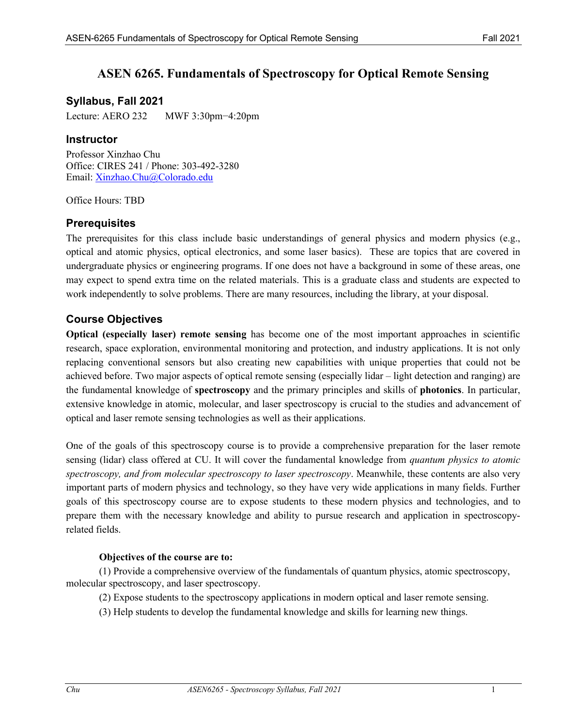# **ASEN 6265. Fundamentals of Spectroscopy for Optical Remote Sensing**

## **Syllabus, Fall 2021**

Lecture: AERO 232 MWF 3:30pm−4:20pm

### **Instructor**

Professor Xinzhao Chu Office: CIRES 241 / Phone: 303-492-3280 Email: Xinzhao.Chu@Colorado.edu

Office Hours: TBD

## **Prerequisites**

The prerequisites for this class include basic understandings of general physics and modern physics (e.g., optical and atomic physics, optical electronics, and some laser basics). These are topics that are covered in undergraduate physics or engineering programs. If one does not have a background in some of these areas, one may expect to spend extra time on the related materials. This is a graduate class and students are expected to work independently to solve problems. There are many resources, including the library, at your disposal.

## **Course Objectives**

**Optical (especially laser) remote sensing** has become one of the most important approaches in scientific research, space exploration, environmental monitoring and protection, and industry applications. It is not only replacing conventional sensors but also creating new capabilities with unique properties that could not be achieved before. Two major aspects of optical remote sensing (especially lidar – light detection and ranging) are the fundamental knowledge of **spectroscopy** and the primary principles and skills of **photonics**. In particular, extensive knowledge in atomic, molecular, and laser spectroscopy is crucial to the studies and advancement of optical and laser remote sensing technologies as well as their applications.

One of the goals of this spectroscopy course is to provide a comprehensive preparation for the laser remote sensing (lidar) class offered at CU. It will cover the fundamental knowledge from *quantum physics to atomic spectroscopy, and from molecular spectroscopy to laser spectroscopy*. Meanwhile, these contents are also very important parts of modern physics and technology, so they have very wide applications in many fields. Further goals of this spectroscopy course are to expose students to these modern physics and technologies, and to prepare them with the necessary knowledge and ability to pursue research and application in spectroscopyrelated fields.

### **Objectives of the course are to:**

(1) Provide a comprehensive overview of the fundamentals of quantum physics, atomic spectroscopy, molecular spectroscopy, and laser spectroscopy.

- (2) Expose students to the spectroscopy applications in modern optical and laser remote sensing.
- (3) Help students to develop the fundamental knowledge and skills for learning new things.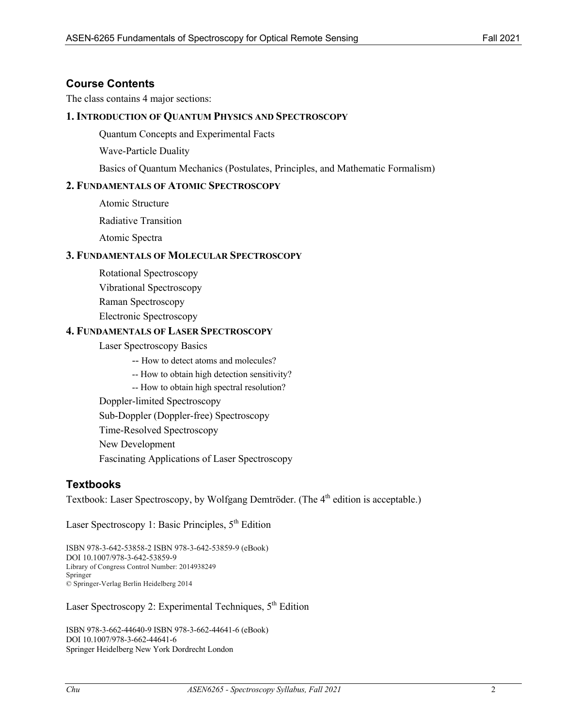### **Course Contents**

The class contains 4 major sections:

### **1. INTRODUCTION OF QUANTUM PHYSICS AND SPECTROSCOPY**

Quantum Concepts and Experimental Facts

Wave-Particle Duality

Basics of Quantum Mechanics (Postulates, Principles, and Mathematic Formalism)

#### **2. FUNDAMENTALS OF ATOMIC SPECTROSCOPY**

Atomic Structure

Radiative Transition

Atomic Spectra

#### **3. FUNDAMENTALS OF MOLECULAR SPECTROSCOPY**

Rotational Spectroscopy

Vibrational Spectroscopy

Raman Spectroscopy

Electronic Spectroscopy

#### **4. FUNDAMENTALS OF LASER SPECTROSCOPY**

Laser Spectroscopy Basics

-- How to detect atoms and molecules?

-- How to obtain high detection sensitivity?

-- How to obtain high spectral resolution?

Doppler-limited Spectroscopy

Sub-Doppler (Doppler-free) Spectroscopy

Time-Resolved Spectroscopy

New Development

Fascinating Applications of Laser Spectroscopy

### **Textbooks**

Textbook: Laser Spectroscopy, by Wolfgang Demtröder. (The 4<sup>th</sup> edition is acceptable.)

Laser Spectroscopy 1: Basic Principles, 5<sup>th</sup> Edition

ISBN 978-3-642-53858-2 ISBN 978-3-642-53859-9 (eBook) DOI 10.1007/978-3-642-53859-9 Library of Congress Control Number: 2014938249 Springer © Springer-Verlag Berlin Heidelberg 2014

Laser Spectroscopy 2: Experimental Techniques,  $5<sup>th</sup>$  Edition

ISBN 978-3-662-44640-9 ISBN 978-3-662-44641-6 (eBook) DOI 10.1007/978-3-662-44641-6 Springer Heidelberg New York Dordrecht London